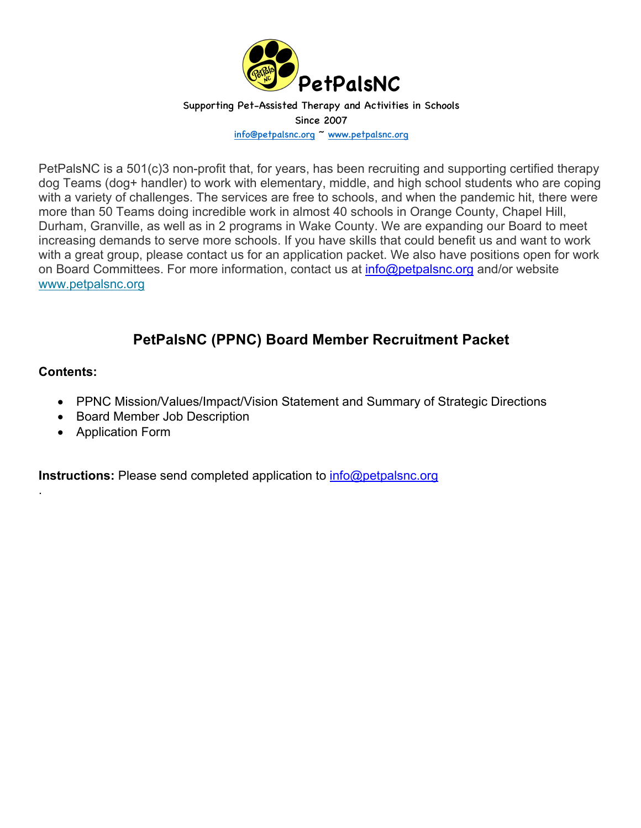

PetPalsNC is a 501(c)3 non-profit that, for years, has been recruiting and supporting certified therapy dog Teams (dog+ handler) to work with elementary, middle, and high school students who are coping with a variety of challenges. The services are free to schools, and when the pandemic hit, there were more than 50 Teams doing incredible work in almost 40 schools in Orange County, Chapel Hill, Durham, Granville, as well as in 2 programs in Wake County. We are expanding our Board to meet increasing demands to serve more schools. If you have skills that could benefit us and want to work with a great group, please contact us for an application packet. We also have positions open for work on Board Committees. For more information, contact us at info@petpalsnc.org and/or website www.petpalsnc.org

# **PetPalsNC (PPNC) Board Member Recruitment Packet**

### **Contents:**

.

- PPNC Mission/Values/Impact/Vision Statement and Summary of Strategic Directions
- Board Member Job Description
- Application Form

**Instructions:** Please send completed application to **info@petpalsnc.org**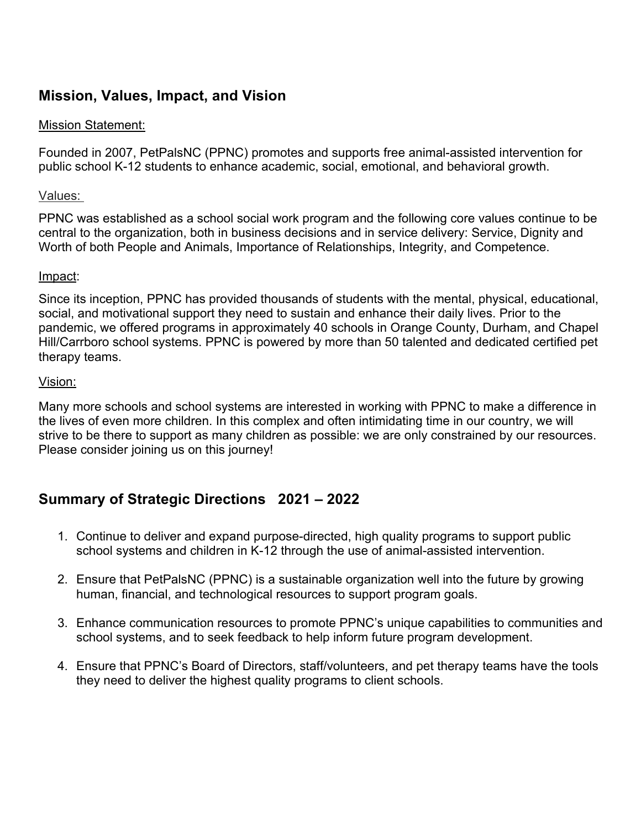## **Mission, Values, Impact, and Vision**

## Mission Statement:

Founded in 2007, PetPalsNC (PPNC) promotes and supports free animal-assisted intervention for public school K-12 students to enhance academic, social, emotional, and behavioral growth.

### Values:

PPNC was established as a school social work program and the following core values continue to be central to the organization, both in business decisions and in service delivery: Service, Dignity and Worth of both People and Animals, Importance of Relationships, Integrity, and Competence.

#### Impact:

Since its inception, PPNC has provided thousands of students with the mental, physical, educational, social, and motivational support they need to sustain and enhance their daily lives. Prior to the pandemic, we offered programs in approximately 40 schools in Orange County, Durham, and Chapel Hill/Carrboro school systems. PPNC is powered by more than 50 talented and dedicated certified pet therapy teams.

#### Vision:

Many more schools and school systems are interested in working with PPNC to make a difference in the lives of even more children. In this complex and often intimidating time in our country, we will strive to be there to support as many children as possible: we are only constrained by our resources. Please consider joining us on this journey!

## **Summary of Strategic Directions 2021 – 2022**

- 1. Continue to deliver and expand purpose-directed, high quality programs to support public school systems and children in K-12 through the use of animal-assisted intervention.
- 2. Ensure that PetPalsNC (PPNC) is a sustainable organization well into the future by growing human, financial, and technological resources to support program goals.
- 3. Enhance communication resources to promote PPNC's unique capabilities to communities and school systems, and to seek feedback to help inform future program development.
- 4. Ensure that PPNC's Board of Directors, staff/volunteers, and pet therapy teams have the tools they need to deliver the highest quality programs to client schools.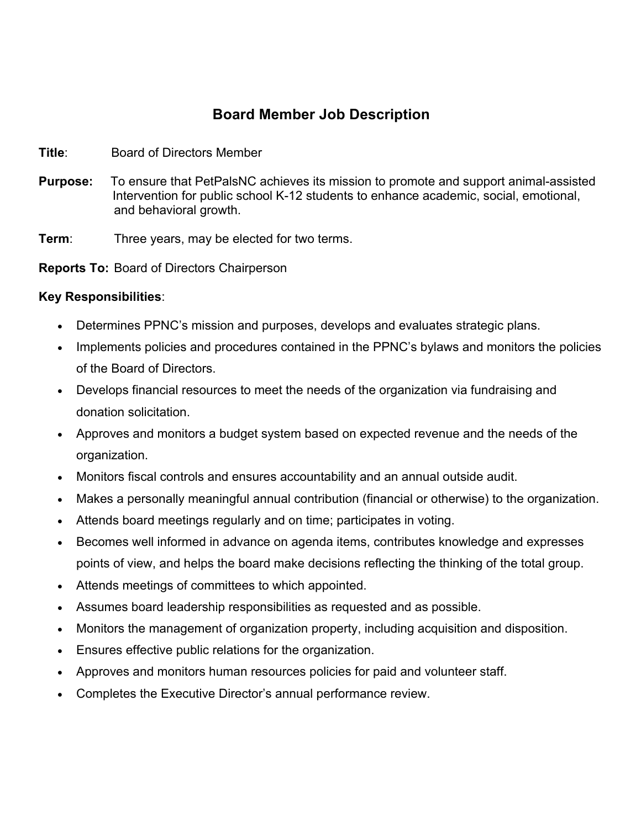## **Board Member Job Description**

- **Title**: Board of Directors Member
- **Purpose: Purpose:** To ensure that PetPalsNC achieves its mission to promote and support animal-assisted Intervention for public school K-12 students to enhance academic, social, emotional, and behavioral growth.

**Term:** Three years, may be elected for two terms.

**Reports To:** Board of Directors Chairperson

### **Key Responsibilities**:

- Determines PPNC's mission and purposes, develops and evaluates strategic plans.
- Implements policies and procedures contained in the PPNC's bylaws and monitors the policies of the Board of Directors.
- Develops financial resources to meet the needs of the organization via fundraising and donation solicitation.
- Approves and monitors a budget system based on expected revenue and the needs of the organization.
- Monitors fiscal controls and ensures accountability and an annual outside audit.
- Makes a personally meaningful annual contribution (financial or otherwise) to the organization.
- Attends board meetings regularly and on time; participates in voting.
- Becomes well informed in advance on agenda items, contributes knowledge and expresses points of view, and helps the board make decisions reflecting the thinking of the total group.
- Attends meetings of committees to which appointed.
- Assumes board leadership responsibilities as requested and as possible.
- Monitors the management of organization property, including acquisition and disposition.
- Ensures effective public relations for the organization.
- Approves and monitors human resources policies for paid and volunteer staff.
- Completes the Executive Director's annual performance review.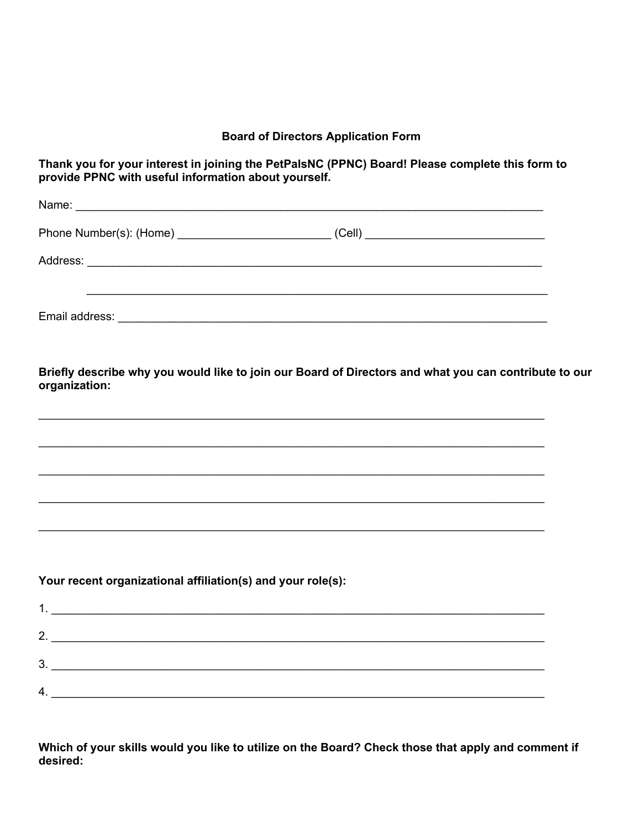#### **Board of Directors Application Form**

Thank you for your interest in joining the PetPalsNC (PPNC) Board! Please complete this form to provide PPNC with useful information about yourself.

|                                                             | ,我们也不会有什么。""我们的人,我们也不会有什么?""我们的人,我们也不会有什么?""我们的人,我们的人,我们也不会有什么?""我们的人,我们的人,我们的人,                                                                                                                                                               |  |
|-------------------------------------------------------------|------------------------------------------------------------------------------------------------------------------------------------------------------------------------------------------------------------------------------------------------|--|
| organization:                                               | Briefly describe why you would like to join our Board of Directors and what you can contribute to our                                                                                                                                          |  |
|                                                             | <u> 1989 - Johann Stoff, deutscher Stoffen und der Stoffen und der Stoffen und der Stoffen und der Stoffen und der</u><br><u> 1989 - Andrea Santa Andrea Andrea Andrea Andrea Andrea Andrea Andrea Andrea Andrea Andrea Andrea Andrea Andr</u> |  |
|                                                             | <u> 1999 - Johann Stoff, amerikansk politiker (d. 1989)</u>                                                                                                                                                                                    |  |
|                                                             | <u> 1989 - Johann Stoff, amerikansk politiker (d. 1989)</u>                                                                                                                                                                                    |  |
|                                                             |                                                                                                                                                                                                                                                |  |
|                                                             |                                                                                                                                                                                                                                                |  |
| Your recent organizational affiliation(s) and your role(s): |                                                                                                                                                                                                                                                |  |
|                                                             | $\mathbf{1.}$ $\blacksquare$                                                                                                                                                                                                                   |  |
|                                                             | $2.$ $\overline{\phantom{a}}$                                                                                                                                                                                                                  |  |
|                                                             | 3.                                                                                                                                                                                                                                             |  |
|                                                             | 4.                                                                                                                                                                                                                                             |  |

Which of your skills would you like to utilize on the Board? Check those that apply and comment if desired: